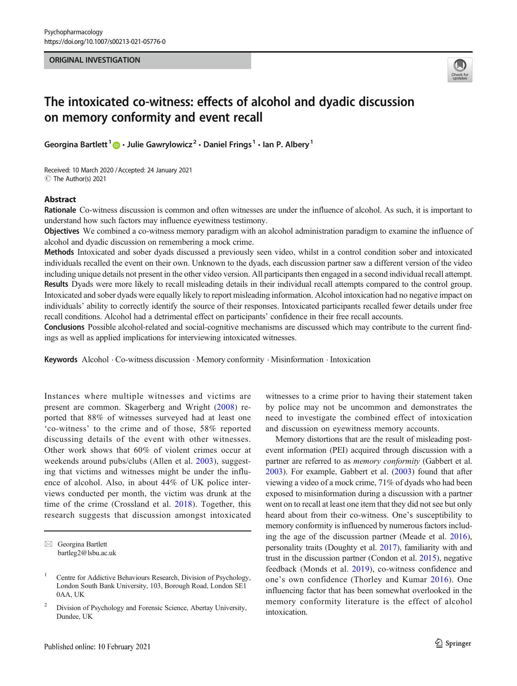# ORIGINAL INVESTIGATION



# The intoxicated co-witness: effects of alcohol and dyadic discussion on memory conformity and event recall

Georgina Bartlett<sup>1</sup>  $\cdot$  Julie Gawrylowicz<sup>2</sup>  $\cdot$  Daniel Frings<sup>1</sup>  $\cdot$  Ian P. Albery<sup>1</sup>

Received: 10 March 2020 /Accepted: 24 January 2021 C The Author(s) 2021

# Abstract

Rationale Co-witness discussion is common and often witnesses are under the influence of alcohol. As such, it is important to understand how such factors may influence eyewitness testimony.

Objectives We combined a co-witness memory paradigm with an alcohol administration paradigm to examine the influence of alcohol and dyadic discussion on remembering a mock crime.

Methods Intoxicated and sober dyads discussed a previously seen video, whilst in a control condition sober and intoxicated individuals recalled the event on their own. Unknown to the dyads, each discussion partner saw a different version of the video including unique details not present in the other video version. All participants then engaged in a second individual recall attempt. Results Dyads were more likely to recall misleading details in their individual recall attempts compared to the control group. Intoxicated and sober dyads were equally likely to report misleading information. Alcohol intoxication had no negative impact on individuals' ability to correctly identify the source of their responses. Intoxicated participants recalled fewer details under free recall conditions. Alcohol had a detrimental effect on participants' confidence in their free recall accounts.

Conclusions Possible alcohol-related and social-cognitive mechanisms are discussed which may contribute to the current findings as well as applied implications for interviewing intoxicated witnesses.

Keywords Alcohol . Co-witness discussion . Memory conformity . Misinformation . Intoxication

Instances where multiple witnesses and victims are present are common. Skagerberg and Wright ([2008](#page-8-0)) reported that 88% of witnesses surveyed had at least one 'co-witness' to the crime and of those, 58% reported discussing details of the event with other witnesses. Other work shows that 60% of violent crimes occur at weekends around pubs/clubs (Allen et al. [2003](#page-7-0)), suggesting that victims and witnesses might be under the influence of alcohol. Also, in about 44% of UK police interviews conducted per month, the victim was drunk at the time of the crime (Crossland et al. [2018\)](#page-7-0). Together, this research suggests that discussion amongst intoxicated

witnesses to a crime prior to having their statement taken by police may not be uncommon and demonstrates the need to investigate the combined effect of intoxication and discussion on eyewitness memory accounts.

Memory distortions that are the result of misleading postevent information (PEI) acquired through discussion with a partner are referred to as memory conformity (Gabbert et al. [2003\)](#page-8-0). For example, Gabbert et al. ([2003](#page-8-0)) found that after viewing a video of a mock crime, 71% of dyads who had been exposed to misinformation during a discussion with a partner went on to recall at least one item that they did not see but only heard about from their co-witness. One's susceptibility to memory conformity is influenced by numerous factors including the age of the discussion partner (Meade et al. [2016\)](#page-8-0), personality traits (Doughty et al. [2017](#page-8-0)), familiarity with and trust in the discussion partner (Condon et al. [2015](#page-7-0)), negative feedback (Monds et al. [2019\)](#page-8-0), co-witness confidence and one's own confidence (Thorley and Kumar [2016](#page-8-0)). One influencing factor that has been somewhat overlooked in the memory conformity literature is the effect of alcohol intoxication.

 $\boxtimes$  Georgina Bartlett [bartleg2@lsbu.ac.uk](mailto:bartleg2@lsbu.ac.uk)

<sup>&</sup>lt;sup>1</sup> Centre for Addictive Behaviours Research, Division of Psychology, London South Bank University, 103, Borough Road, London SE1 0AA, UK

<sup>&</sup>lt;sup>2</sup> Division of Psychology and Forensic Science, Abertay University, Dundee, UK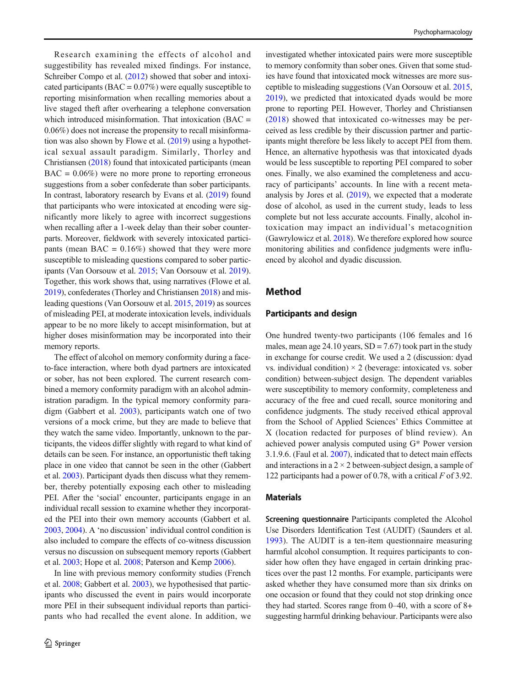Research examining the effects of alcohol and suggestibility has revealed mixed findings. For instance, Schreiber Compo et al. [\(2012\)](#page-8-0) showed that sober and intoxicated participants ( $\text{BAC} = 0.07\%$ ) were equally susceptible to reporting misinformation when recalling memories about a live staged theft after overhearing a telephone conversation which introduced misinformation. That intoxication (BAC = 0.06%) does not increase the propensity to recall misinformation was also shown by Flowe et al.  $(2019)$  using a hypothetical sexual assault paradigm. Similarly, Thorley and Christiansen ([2018](#page-8-0)) found that intoxicated participants (mean  $BAC = 0.06\%$ ) were no more prone to reporting erroneous suggestions from a sober confederate than sober participants. In contrast, laboratory research by Evans et al. ([2019](#page-8-0)) found that participants who were intoxicated at encoding were significantly more likely to agree with incorrect suggestions when recalling after a 1-week delay than their sober counterparts. Moreover, fieldwork with severely intoxicated participants (mean BAC =  $0.16\%$ ) showed that they were more susceptible to misleading questions compared to sober participants (Van Oorsouw et al. [2015](#page-8-0); Van Oorsouw et al. [2019\)](#page-8-0). Together, this work shows that, using narratives (Flowe et al. [2019\)](#page-8-0), confederates (Thorley and Christiansen [2018\)](#page-8-0) and misleading questions (Van Oorsouw et al. [2015](#page-8-0), [2019](#page-8-0)) as sources of misleading PEI, at moderate intoxication levels, individuals appear to be no more likely to accept misinformation, but at higher doses misinformation may be incorporated into their memory reports.

The effect of alcohol on memory conformity during a faceto-face interaction, where both dyad partners are intoxicated or sober, has not been explored. The current research combined a memory conformity paradigm with an alcohol administration paradigm. In the typical memory conformity paradigm (Gabbert et al. [2003\)](#page-8-0), participants watch one of two versions of a mock crime, but they are made to believe that they watch the same video. Importantly, unknown to the participants, the videos differ slightly with regard to what kind of details can be seen. For instance, an opportunistic theft taking place in one video that cannot be seen in the other (Gabbert et al. [2003\)](#page-8-0). Participant dyads then discuss what they remember, thereby potentially exposing each other to misleading PEI. After the 'social' encounter, participants engage in an individual recall session to examine whether they incorporated the PEI into their own memory accounts (Gabbert et al. [2003,](#page-8-0) [2004\)](#page-8-0). A 'no discussion' individual control condition is also included to compare the effects of co-witness discussion versus no discussion on subsequent memory reports (Gabbert et al. [2003](#page-8-0); Hope et al. [2008](#page-8-0); Paterson and Kemp [2006](#page-8-0)).

In line with previous memory conformity studies (French et al. [2008;](#page-8-0) Gabbert et al. [2003\)](#page-8-0), we hypothesised that participants who discussed the event in pairs would incorporate more PEI in their subsequent individual reports than participants who had recalled the event alone. In addition, we investigated whether intoxicated pairs were more susceptible to memory conformity than sober ones. Given that some studies have found that intoxicated mock witnesses are more susceptible to misleading suggestions (Van Oorsouw et al. [2015,](#page-8-0) [2019\)](#page-8-0), we predicted that intoxicated dyads would be more prone to reporting PEI. However, Thorley and Christiansen [\(2018\)](#page-8-0) showed that intoxicated co-witnesses may be perceived as less credible by their discussion partner and participants might therefore be less likely to accept PEI from them. Hence, an alternative hypothesis was that intoxicated dyads would be less susceptible to reporting PEI compared to sober ones. Finally, we also examined the completeness and accuracy of participants' accounts. In line with a recent metaanalysis by Jores et al. [\(2019\)](#page-8-0), we expected that a moderate dose of alcohol, as used in the current study, leads to less complete but not less accurate accounts. Finally, alcohol intoxication may impact an individual's metacognition (Gawrylowicz et al. [2018\)](#page-8-0). We therefore explored how source monitoring abilities and confidence judgments were influenced by alcohol and dyadic discussion.

# Method

# Participants and design

One hundred twenty-two participants (106 females and 16 males, mean age 24.10 years,  $SD = 7.67$  took part in the study in exchange for course credit. We used a 2 (discussion: dyad vs. individual condition)  $\times$  2 (beverage: intoxicated vs. sober condition) between-subject design. The dependent variables were susceptibility to memory conformity, completeness and accuracy of the free and cued recall, source monitoring and confidence judgments. The study received ethical approval from the School of Applied Sciences' Ethics Committee at X (location redacted for purposes of blind review). An achieved power analysis computed using G\* Power version 3.1.9.6. (Faul et al. [2007](#page-8-0)), indicated that to detect main effects and interactions in a  $2 \times 2$  between-subject design, a sample of 122 participants had a power of 0.78, with a critical  $F$  of 3.92.

### Materials

Screening questionnaire Participants completed the Alcohol Use Disorders Identification Test (AUDIT) (Saunders et al. [1993](#page-8-0)). The AUDIT is a ten-item questionnaire measuring harmful alcohol consumption. It requires participants to consider how often they have engaged in certain drinking practices over the past 12 months. For example, participants were asked whether they have consumed more than six drinks on one occasion or found that they could not stop drinking once they had started. Scores range from 0–40, with a score of 8+ suggesting harmful drinking behaviour. Participants were also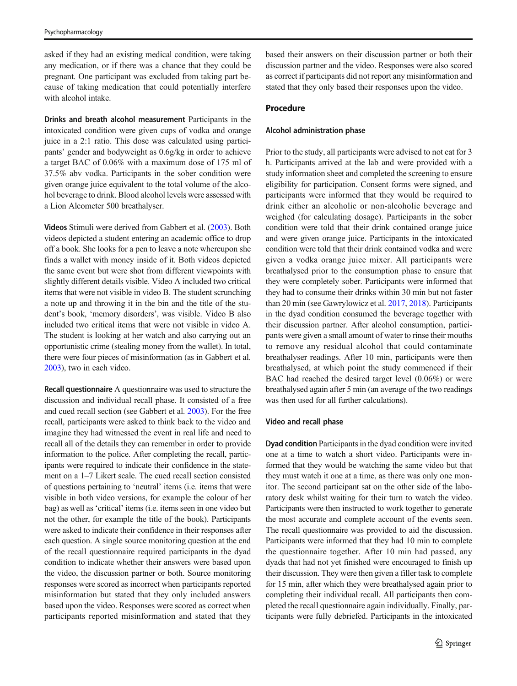asked if they had an existing medical condition, were taking any medication, or if there was a chance that they could be pregnant. One participant was excluded from taking part because of taking medication that could potentially interfere with alcohol intake.

Drinks and breath alcohol measurement Participants in the intoxicated condition were given cups of vodka and orange juice in a 2:1 ratio. This dose was calculated using participants' gender and bodyweight as 0.6g/kg in order to achieve a target BAC of 0.06% with a maximum dose of 175 ml of 37.5% abv vodka. Participants in the sober condition were given orange juice equivalent to the total volume of the alcohol beverage to drink. Blood alcohol levels were assessed with a Lion Alcometer 500 breathalyser.

Videos Stimuli were derived from Gabbert et al. [\(2003](#page-8-0)). Both videos depicted a student entering an academic office to drop off a book. She looks for a pen to leave a note whereupon she finds a wallet with money inside of it. Both videos depicted the same event but were shot from different viewpoints with slightly different details visible. Video A included two critical items that were not visible in video B. The student scrunching a note up and throwing it in the bin and the title of the student's book, 'memory disorders', was visible. Video B also included two critical items that were not visible in video A. The student is looking at her watch and also carrying out an opportunistic crime (stealing money from the wallet). In total, there were four pieces of misinformation (as in Gabbert et al. [2003\)](#page-8-0), two in each video.

Recall questionnaire A questionnaire was used to structure the discussion and individual recall phase. It consisted of a free and cued recall section (see Gabbert et al. [2003\)](#page-8-0). For the free recall, participants were asked to think back to the video and imagine they had witnessed the event in real life and need to recall all of the details they can remember in order to provide information to the police. After completing the recall, participants were required to indicate their confidence in the statement on a 1–7 Likert scale. The cued recall section consisted of questions pertaining to 'neutral' items (i.e. items that were visible in both video versions, for example the colour of her bag) as well as 'critical' items (i.e. items seen in one video but not the other, for example the title of the book). Participants were asked to indicate their confidence in their responses after each question. A single source monitoring question at the end of the recall questionnaire required participants in the dyad condition to indicate whether their answers were based upon the video, the discussion partner or both. Source monitoring responses were scored as incorrect when participants reported misinformation but stated that they only included answers based upon the video. Responses were scored as correct when participants reported misinformation and stated that they

based their answers on their discussion partner or both their discussion partner and the video. Responses were also scored as correct if participants did not report any misinformation and stated that they only based their responses upon the video.

# Procedure

## Alcohol administration phase

Prior to the study, all participants were advised to not eat for 3 h. Participants arrived at the lab and were provided with a study information sheet and completed the screening to ensure eligibility for participation. Consent forms were signed, and participants were informed that they would be required to drink either an alcoholic or non-alcoholic beverage and weighed (for calculating dosage). Participants in the sober condition were told that their drink contained orange juice and were given orange juice. Participants in the intoxicated condition were told that their drink contained vodka and were given a vodka orange juice mixer. All participants were breathalysed prior to the consumption phase to ensure that they were completely sober. Participants were informed that they had to consume their drinks within 30 min but not faster than 20 min (see Gawrylowicz et al. [2017,](#page-8-0) [2018](#page-8-0)). Participants in the dyad condition consumed the beverage together with their discussion partner. After alcohol consumption, participants were given a small amount of water to rinse their mouths to remove any residual alcohol that could contaminate breathalyser readings. After 10 min, participants were then breathalysed, at which point the study commenced if their BAC had reached the desired target level (0.06%) or were breathalysed again after 5 min (an average of the two readings was then used for all further calculations).

## Video and recall phase

Dyad condition Participants in the dyad condition were invited one at a time to watch a short video. Participants were informed that they would be watching the same video but that they must watch it one at a time, as there was only one monitor. The second participant sat on the other side of the laboratory desk whilst waiting for their turn to watch the video. Participants were then instructed to work together to generate the most accurate and complete account of the events seen. The recall questionnaire was provided to aid the discussion. Participants were informed that they had 10 min to complete the questionnaire together. After 10 min had passed, any dyads that had not yet finished were encouraged to finish up their discussion. They were then given a filler task to complete for 15 min, after which they were breathalysed again prior to completing their individual recall. All participants then completed the recall questionnaire again individually. Finally, participants were fully debriefed. Participants in the intoxicated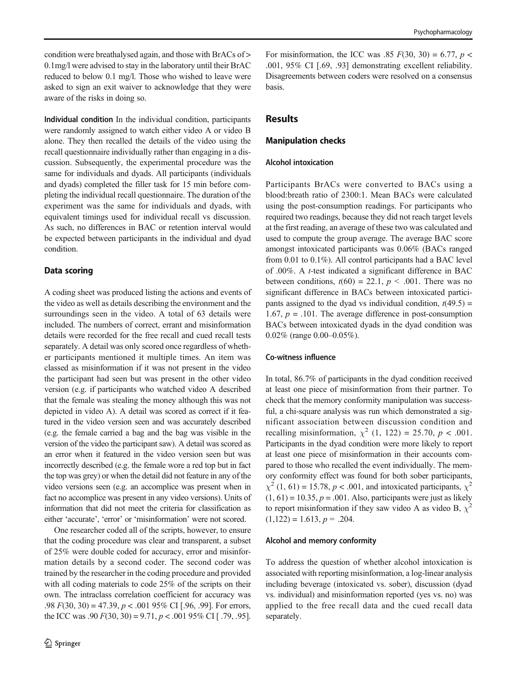condition were breathalysed again, and those with BrACs of > 0.1mg/l were advised to stay in the laboratory until their BrAC reduced to below 0.1 mg/l. Those who wished to leave were asked to sign an exit waiver to acknowledge that they were aware of the risks in doing so.

Individual condition In the individual condition, participants were randomly assigned to watch either video A or video B alone. They then recalled the details of the video using the recall questionnaire individually rather than engaging in a discussion. Subsequently, the experimental procedure was the same for individuals and dyads. All participants (individuals and dyads) completed the filler task for 15 min before completing the individual recall questionnaire. The duration of the experiment was the same for individuals and dyads, with equivalent timings used for individual recall vs discussion. As such, no differences in BAC or retention interval would be expected between participants in the individual and dyad condition.

# Data scoring

A coding sheet was produced listing the actions and events of the video as well as details describing the environment and the surroundings seen in the video. A total of 63 details were included. The numbers of correct, errant and misinformation details were recorded for the free recall and cued recall tests separately. A detail was only scored once regardless of whether participants mentioned it multiple times. An item was classed as misinformation if it was not present in the video the participant had seen but was present in the other video version (e.g. if participants who watched video A described that the female was stealing the money although this was not depicted in video A). A detail was scored as correct if it featured in the video version seen and was accurately described (e.g. the female carried a bag and the bag was visible in the version of the video the participant saw). A detail was scored as an error when it featured in the video version seen but was incorrectly described (e.g. the female wore a red top but in fact the top was grey) or when the detail did not feature in any of the video versions seen (e.g. an accomplice was present when in fact no accomplice was present in any video versions). Units of information that did not meet the criteria for classification as either 'accurate', 'error' or 'misinformation' were not scored.

One researcher coded all of the scripts, however, to ensure that the coding procedure was clear and transparent, a subset of 25% were double coded for accuracy, error and misinformation details by a second coder. The second coder was trained by the researcher in the coding procedure and provided with all coding materials to code 25% of the scripts on their own. The intraclass correlation coefficient for accuracy was .98  $F(30, 30) = 47.39, p < .001$  95% CI [.96, .99]. For errors, the ICC was  $.90 F(30, 30) = 9.71, p < .001 95\% \text{ CI}$  [.79, .95].

For misinformation, the ICC was .85  $F(30, 30) = 6.77$ ,  $p <$ .001, 95% CI [.69, .93] demonstrating excellent reliability. Disagreements between coders were resolved on a consensus basis.

# **Results**

## Manipulation checks

# Alcohol intoxication

Participants BrACs were converted to BACs using a blood:breath ratio of 2300:1. Mean BACs were calculated using the post-consumption readings. For participants who required two readings, because they did not reach target levels at the first reading, an average of these two was calculated and used to compute the group average. The average BAC score amongst intoxicated participants was 0.06% (BACs ranged from 0.01 to 0.1%). All control participants had a BAC level of .00%. A t-test indicated a significant difference in BAC between conditions,  $t(60) = 22.1$ ,  $p < .001$ . There was no significant difference in BACs between intoxicated participants assigned to the dyad vs individual condition,  $t(49.5)$  = 1.67,  $p = .101$ . The average difference in post-consumption BACs between intoxicated dyads in the dyad condition was 0.02% (range 0.00–0.05%).

## Co-witness influence

In total, 86.7% of participants in the dyad condition received at least one piece of misinformation from their partner. To check that the memory conformity manipulation was successful, a chi-square analysis was run which demonstrated a significant association between discussion condition and recalling misinformation,  $\chi^2$  (1, 122) = 25.70,  $p < .001$ . Participants in the dyad condition were more likely to report at least one piece of misinformation in their accounts compared to those who recalled the event individually. The memory conformity effect was found for both sober participants,  $\chi^2$  (1, 61) = 15.78, p < .001, and intoxicated participants,  $\chi^2$  $(1, 61) = 10.35, p = .001$ . Also, participants were just as likely to report misinformation if they saw video A as video B,  $\chi^2$  $(1,122) = 1.613, p = .204.$ 

#### Alcohol and memory conformity

To address the question of whether alcohol intoxication is associated with reporting misinformation, a log-linear analysis including beverage (intoxicated vs. sober), discussion (dyad vs. individual) and misinformation reported (yes vs. no) was applied to the free recall data and the cued recall data separately.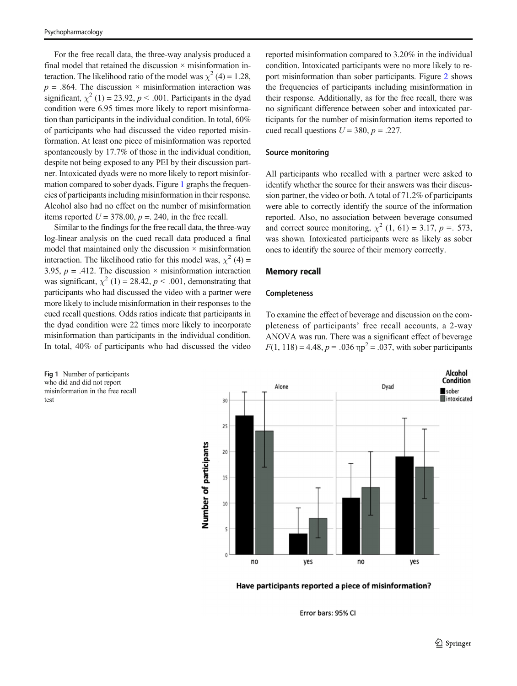For the free recall data, the three-way analysis produced a final model that retained the discussion  $\times$  misinformation interaction. The likelihood ratio of the model was  $\chi^2$  (4) = 1.28,  $p = .864$ . The discussion  $\times$  misinformation interaction was significant,  $\chi^2$  (1) = 23.92, p < .001. Participants in the dyad condition were 6.95 times more likely to report misinformation than participants in the individual condition. In total, 60% of participants who had discussed the video reported misinformation. At least one piece of misinformation was reported spontaneously by 17.7% of those in the individual condition, despite not being exposed to any PEI by their discussion partner. Intoxicated dyads were no more likely to report misinformation compared to sober dyads. Figure 1 graphs the frequencies of participants including misinformation in their response. Alcohol also had no effect on the number of misinformation items reported  $U = 378.00$ ,  $p = 0.240$ , in the free recall.

Similar to the findings for the free recall data, the three-way log-linear analysis on the cued recall data produced a final model that maintained only the discussion  $\times$  misinformation interaction. The likelihood ratio for this model was,  $\chi^2$  (4) = 3.95,  $p = .412$ . The discussion  $\times$  misinformation interaction was significant,  $\chi^2$  (1) = 28.42, *p* < .001, demonstrating that participants who had discussed the video with a partner were more likely to include misinformation in their responses to the cued recall questions. Odds ratios indicate that participants in the dyad condition were 22 times more likely to incorporate misinformation than participants in the individual condition. In total, 40% of participants who had discussed the video

reported misinformation compared to 3.20% in the individual condition. Intoxicated participants were no more likely to report misinformation than sober participants. Figure [2](#page-5-0) shows the frequencies of participants including misinformation in their response. Additionally, as for the free recall, there was no significant difference between sober and intoxicated participants for the number of misinformation items reported to cued recall questions  $U = 380$ ,  $p = .227$ .

## Source monitoring

All participants who recalled with a partner were asked to identify whether the source for their answers was their discussion partner, the video or both. A total of 71.2% of participants were able to correctly identify the source of the information reported. Also, no association between beverage consumed and correct source monitoring,  $\chi^2$  (1, 61) = 3.17, p = .573, was shown. Intoxicated participants were as likely as sober ones to identify the source of their memory correctly.

## Memory recall

# Completeness

To examine the effect of beverage and discussion on the completeness of participants' free recall accounts, a 2-way ANOVA was run. There was a significant effect of beverage  $F(1, 118) = 4.48$ ,  $p = .036$   $np^2 = .037$ , with sober participants

Fig 1 Number of participants who did and did not report misinformation in the free recall test



Have participants reported a piece of misinformation?

Error bars: 95% CI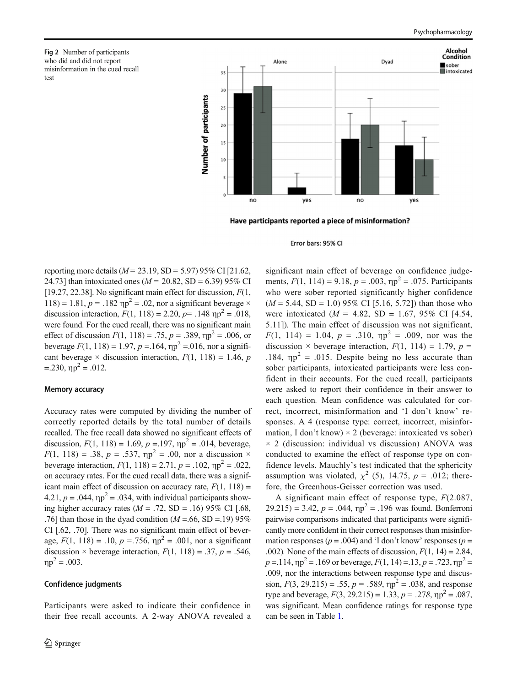<span id="page-5-0"></span>Fig 2 Number of participants who did and did not report misinformation in the cued recall test



Have participants reported a piece of misinformation?

#### Error bars: 95% CI

reporting more details ( $M = 23.19$ , SD = 5.97) 95% CI [21.62, 24.73] than intoxicated ones ( $M = 20.82$ , SD = 6.39) 95% CI [19.27, 22.38]. No significant main effect for discussion,  $F(1, 1)$ 118) = 1.81,  $p = .182$   $np^2 = .02$ , nor a significant beverage  $\times$ discussion interaction,  $F(1, 118) = 2.20$ ,  $p = .148$  np<sup>2</sup> = .018, were found. For the cued recall, there was no significant main effect of discussion  $F(1, 118) = .75$ ,  $p = .389$ ,  $np^2 = .006$ , or beverage  $F(1, 118) = 1.97$ ,  $p = .164$ ,  $np^2 = .016$ , nor a significant beverage  $\times$  discussion interaction,  $F(1, 118) = 1.46$ , p  $=$  230,  $np^2 = .012$ .

#### Memory accuracy

Accuracy rates were computed by dividing the number of correctly reported details by the total number of details recalled. The free recall data showed no significant effects of discussion,  $F(1, 118) = 1.69$ ,  $p = .197$ ,  $np^2 = .014$ , beverage,  $F(1, 118) = .38$ ,  $p = .537$ ,  $np^2 = .00$ , nor a discussion  $\times$ beverage interaction,  $F(1, 118) = 2.71$ ,  $p = .102$ ,  $np^2 = .022$ , on accuracy rates. For the cued recall data, there was a significant main effect of discussion on accuracy rate,  $F(1, 118) =$ 4.21,  $p = .044$ ,  $\eta p^2 = .034$ , with individual participants showing higher accuracy rates  $(M = .72, SD = .16)$  95% CI [.68, .76] than those in the dyad condition  $(M = .66, SD = .19)$  95% CI [.62, .70]. There was no significant main effect of beverage,  $F(1, 118) = .10$ ,  $p = .756$ ,  $\eta p^2 = .001$ , nor a significant discussion  $\times$  beverage interaction,  $F(1, 118) = .37$ ,  $p = .546$ ,  $np^2 = .003$ .

## Confidence judgments

Participants were asked to indicate their confidence in their free recall accounts. A 2-way ANOVA revealed a significant main effect of beverage on confidence judgements,  $F(1, 114) = 9.18$ ,  $p = .003$ ,  $np^2 = .075$ . Participants who were sober reported significantly higher confidence  $(M = 5.44, SD = 1.0)$  95% CI [5.16, 5.72]) than those who were intoxicated  $(M = 4.82, SD = 1.67, 95\% \text{ CI}$  [4.54, 5.11]). The main effect of discussion was not significant,  $F(1, 114) = 1.04$ ,  $p = .310$ ,  $np^2 = .009$ , nor was the discussion  $\times$  beverage interaction,  $F(1, 114) = 1.79$ ,  $p =$ .184,  $np^2 = .015$ . Despite being no less accurate than sober participants, intoxicated participants were less confident in their accounts. For the cued recall, participants were asked to report their confidence in their answer to each question. Mean confidence was calculated for correct, incorrect, misinformation and 'I don't know' responses. A 4 (response type: correct, incorrect, misinformation, I don't know)  $\times$  2 (beverage: intoxicated vs sober)  $\times$  2 (discussion: individual vs discussion) ANOVA was conducted to examine the effect of response type on confidence levels. Mauchly's test indicated that the sphericity assumption was violated,  $\chi^2$  (5), 14.75, p = .012; therefore, the Greenhous-Geisser correction was used.

A significant main effect of response type,  $F(2.087,$ 29.215) = 3.42,  $p = .044$ ,  $np^2 = .196$  was found. Bonferroni pairwise comparisons indicated that participants were significantly more confident in their correct responses than misinformation responses ( $p = .004$ ) and 'I don't know' responses ( $p =$ .002). None of the main effects of discussion,  $F(1, 14) = 2.84$ ,  $p = 114$ ,  $\eta p^2 = 0.169$  or beverage,  $F(1, 14) = 0.13$ ,  $p = 0.723$ ,  $\eta p^2 = 0.114$ .009, nor the interactions between response type and discussion,  $F(3, 29.215) = .55$ ,  $p = .589$ ,  $np^2 = .038$ , and response type and beverage,  $F(3, 29.215) = 1.33$ ,  $p = .278$ ,  $np^2 = .087$ , was significant. Mean confidence ratings for response type can be seen in Table [1.](#page-6-0)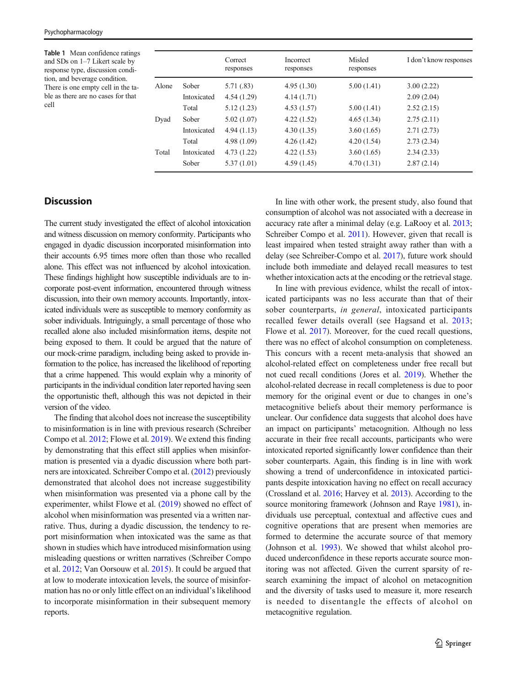<span id="page-6-0"></span>Table 1 Mean confidence ratings and SDs on 1–7 Likert scale by response type, discussion condition, and beverage condition. There is one empty cell in the table as there are no cases for that cell

|       |             | Correct<br>responses | <b>Incorrect</b><br>responses | Misled<br>responses | I don't know responses |
|-------|-------------|----------------------|-------------------------------|---------------------|------------------------|
| Alone | Sober       | 5.71 (.83)           | 4.95(1.30)                    | 5.00(1.41)          | 3.00(2.22)             |
|       | Intoxicated | 4.54(1.29)           | 4.14(1.71)                    |                     | 2.09(2.04)             |
|       | Total       | 5.12(1.23)           | 4.53(1.57)                    | 5.00(1.41)          | 2.52(2.15)             |
| Dyad  | Sober       | 5.02(1.07)           | 4.22(1.52)                    | 4.65(1.34)          | 2.75(2.11)             |
|       | Intoxicated | 4.94(1.13)           | 4.30(1.35)                    | 3.60(1.65)          | 2.71(2.73)             |
|       | Total       | 4.98 (1.09)          | 4.26(1.42)                    | 4.20(1.54)          | 2.73(2.34)             |
| Total | Intoxicated | 4.73(1.22)           | 4.22(1.53)                    | 3.60(1.65)          | 2.34(2.33)             |
|       | Sober       | 5.37(1.01)           | 4.59(1.45)                    | 4.70(1.31)          | 2.87(2.14)             |

# **Discussion**

The current study investigated the effect of alcohol intoxication and witness discussion on memory conformity. Participants who engaged in dyadic discussion incorporated misinformation into their accounts 6.95 times more often than those who recalled alone. This effect was not influenced by alcohol intoxication. These findings highlight how susceptible individuals are to incorporate post-event information, encountered through witness discussion, into their own memory accounts. Importantly, intoxicated individuals were as susceptible to memory conformity as sober individuals. Intriguingly, a small percentage of those who recalled alone also included misinformation items, despite not being exposed to them. It could be argued that the nature of our mock-crime paradigm, including being asked to provide information to the police, has increased the likelihood of reporting that a crime happened. This would explain why a minority of participants in the individual condition later reported having seen the opportunistic theft, although this was not depicted in their version of the video.

The finding that alcohol does not increase the susceptibility to misinformation is in line with previous research (Schreiber Compo et al. [2012](#page-8-0); Flowe et al. [2019\)](#page-8-0). We extend this finding by demonstrating that this effect still applies when misinformation is presented via a dyadic discussion where both partners are intoxicated. Schreiber Compo et al. [\(2012](#page-8-0)) previously demonstrated that alcohol does not increase suggestibility when misinformation was presented via a phone call by the experimenter, whilst Flowe et al. ([2019](#page-8-0)) showed no effect of alcohol when misinformation was presented via a written narrative. Thus, during a dyadic discussion, the tendency to report misinformation when intoxicated was the same as that shown in studies which have introduced misinformation using misleading questions or written narratives (Schreiber Compo et al. [2012;](#page-8-0) Van Oorsouw et al. [2015](#page-8-0)). It could be argued that at low to moderate intoxication levels, the source of misinformation has no or only little effect on an individual's likelihood to incorporate misinformation in their subsequent memory reports.

In line with other work, the present study, also found that consumption of alcohol was not associated with a decrease in accuracy rate after a minimal delay (e.g. LaRooy et al. [2013;](#page-8-0) Schreiber Compo et al. [2011\)](#page-8-0). However, given that recall is least impaired when tested straight away rather than with a delay (see Schreiber-Compo et al. [2017](#page-8-0)), future work should include both immediate and delayed recall measures to test whether intoxication acts at the encoding or the retrieval stage.

In line with previous evidence, whilst the recall of intoxicated participants was no less accurate than that of their sober counterparts, in general, intoxicated participants recalled fewer details overall (see Hagsand et al. [2013;](#page-8-0) Flowe et al. [2017](#page-8-0)). Moreover, for the cued recall questions, there was no effect of alcohol consumption on completeness. This concurs with a recent meta-analysis that showed an alcohol-related effect on completeness under free recall but not cued recall conditions (Jores et al. [2019](#page-8-0)). Whether the alcohol-related decrease in recall completeness is due to poor memory for the original event or due to changes in one's metacognitive beliefs about their memory performance is unclear. Our confidence data suggests that alcohol does have an impact on participants' metacognition. Although no less accurate in their free recall accounts, participants who were intoxicated reported significantly lower confidence than their sober counterparts. Again, this finding is in line with work showing a trend of underconfidence in intoxicated participants despite intoxication having no effect on recall accuracy (Crossland et al. [2016](#page-7-0); Harvey et al. [2013](#page-8-0)). According to the source monitoring framework (Johnson and Raye [1981\)](#page-8-0), individuals use perceptual, contextual and affective cues and cognitive operations that are present when memories are formed to determine the accurate source of that memory (Johnson et al. [1993\)](#page-8-0). We showed that whilst alcohol produced underconfidence in these reports accurate source monitoring was not affected. Given the current sparsity of research examining the impact of alcohol on metacognition and the diversity of tasks used to measure it, more research is needed to disentangle the effects of alcohol on metacognitive regulation.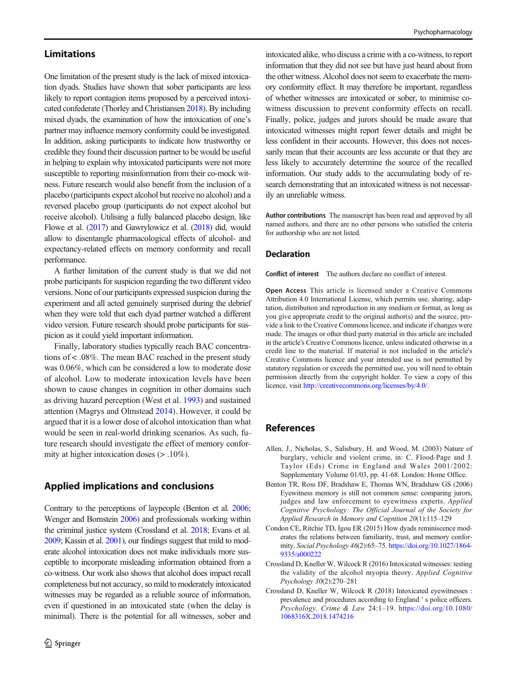# <span id="page-7-0"></span>Limitations

One limitation of the present study is the lack of mixed intoxication dyads. Studies have shown that sober participants are less likely to report contagion items proposed by a perceived intoxicated confederate (Thorley and Christiansen [2018\)](#page-8-0). By including mixed dyads, the examination of how the intoxication of one's partner may influence memory conformity could be investigated. In addition, asking participants to indicate how trustworthy or credible they found their discussion partner to be would be useful in helping to explain why intoxicated participants were not more susceptible to reporting misinformation from their co-mock witness. Future research would also benefit from the inclusion of a placebo (participants expect alcohol but receive no alcohol) and a reversed placebo group (participants do not expect alcohol but receive alcohol). Utilising a fully balanced placebo design, like Flowe et al. ([2017](#page-8-0)) and Gawrylowicz et al. [\(2018\)](#page-8-0) did, would allow to disentangle pharmacological effects of alcohol- and expectancy-related effects on memory conformity and recall performance.

A further limitation of the current study is that we did not probe participants for suspicion regarding the two different video versions. None of our participants expressed suspicion during the experiment and all acted genuinely surprised during the debrief when they were told that each dyad partner watched a different video version. Future research should probe participants for suspicion as it could yield important information.

Finally, laboratory studies typically reach BAC concentrations of < .08%. The mean BAC reached in the present study was 0.06%, which can be considered a low to moderate dose of alcohol. Low to moderate intoxication levels have been shown to cause changes in cognition in other domains such as driving hazard perception (West et al. [1993\)](#page-8-0) and sustained attention (Magrys and Olmstead [2014\)](#page-8-0). However, it could be argued that it is a lower dose of alcohol intoxication than what would be seen in real-world drinking scenarios. As such, future research should investigate the effect of memory conformity at higher intoxication doses (> .10%).

# Applied implications and conclusions

Contrary to the perceptions of laypeople (Benton et al. 2006; Wenger and Bornstein [2006\)](#page-8-0) and professionals working within the criminal justice system (Crossland et al. 2018; Evans et al. [2009;](#page-8-0) Kassin et al. [2001](#page-8-0)), our findings suggest that mild to moderate alcohol intoxication does not make individuals more susceptible to incorporate misleading information obtained from a co-witness. Our work also shows that alcohol does impact recall completeness but not accuracy, so mild to moderately intoxicated witnesses may be regarded as a reliable source of information, even if questioned in an intoxicated state (when the delay is minimal). There is the potential for all witnesses, sober and

intoxicated alike, who discuss a crime with a co-witness, to report information that they did not see but have just heard about from the other witness. Alcohol does not seem to exacerbate the memory conformity effect. It may therefore be important, regardless of whether witnesses are intoxicated or sober, to minimise cowitness discussion to prevent conformity effects on recall. Finally, police, judges and jurors should be made aware that intoxicated witnesses might report fewer details and might be less confident in their accounts. However, this does not necessarily mean that their accounts are less accurate or that they are less likely to accurately determine the source of the recalled information. Our study adds to the accumulating body of research demonstrating that an intoxicated witness is not necessarily an unreliable witness.

Author contributions The manuscript has been read and approved by all named authors, and there are no other persons who satisfied the criteria for authorship who are not listed.

# Declaration

Conflict of interest The authors declare no conflict of interest.

Open Access This article is licensed under a Creative Commons Attribution 4.0 International License, which permits use, sharing, adaptation, distribution and reproduction in any medium or format, as long as you give appropriate credit to the original author(s) and the source, provide a link to the Creative Commons licence, and indicate if changes were made. The images or other third party material in this article are included in the article's Creative Commons licence, unless indicated otherwise in a credit line to the material. If material is not included in the article's Creative Commons licence and your intended use is not permitted by statutory regulation or exceeds the permitted use, you will need to obtain permission directly from the copyright holder. To view a copy of this licence, visit [http://creativecommons.org/licenses/by/4.0/](https://doi.org/).

# References

- Allen, J., Nicholas, S., Salisbury, H. and Wood, M. (2003) Nature of burglary, vehicle and violent crime, in: C. Flood-Page and J. Taylor (Eds) Crime in England and Wales 2001/2002: Supplementary Volume 01/03, pp. 41-68. London: Home Office.
- Benton TR, Ross DF, Bradshaw E, Thomas WN, Bradshaw GS (2006) Eyewitness memory is still not common sense: comparing jurors, judges and law enforcement to eyewitness experts. Applied Cognitive Psychology: The Official Journal of the Society for Applied Research in Memory and Cognition 20(1):115–129
- Condon CE, Ritchie TD, Igou ER (2015) How dyads reminiscence moderates the relations between familiarity, trust, and memory conformity. Social Psychology 46(2):65–75. [https://doi.org/10.1027/1864-](https://doi.org/10.1027/1864-9335/a000222) [9335/a000222](https://doi.org/10.1027/1864-9335/a000222)
- Crossland D, Kneller W, Wilcock R (2016) Intoxicated witnesses: testing the validity of the alcohol myopia theory. Applied Cognitive Psychology 30(2):270–281
- Crossland D, Kneller W, Wilcock R (2018) Intoxicated eyewitnesses : prevalence and procedures according to England ' s police officers. Psychology, Crime & Law 24:1–19. [https://doi.org/10.1080/](https://doi.org/10.1080/1068316X.2018.1474216) [1068316X.2018.1474216](https://doi.org/10.1080/1068316X.2018.1474216)